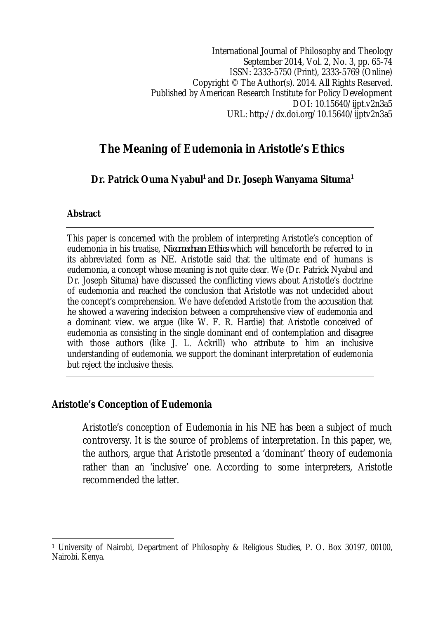International Journal of Philosophy and Theology September 2014, Vol. 2, No. 3, pp. 65-74 ISSN: 2333-5750 (Print), 2333-5769 (Online) Copyright © The Author(s). 2014. All Rights Reserved. Published by American Research Institute for Policy Development DOI: 10.15640/ijpt.v2n3a5 URL: http://dx.doi.org/10.15640/ijptv2n3a5

# **The Meaning of Eudemonia in Aristotle's Ethics**

**Dr. Patrick Ouma Nyabul<sup>1</sup> and Dr. Joseph Wanyama Situma<sup>1</sup>**

## **Abstract**

This paper is concerned with the problem of interpreting Aristotle's conception of eudemonia in his treatise, *Nicomachean Ethics* which will henceforth be referred to in its abbreviated form as *NE*. Aristotle said that the ultimate end of humans is eudemonia*,* a concept whose meaning is not quite clear. We (Dr. Patrick Nyabul and Dr. Joseph Situma) have discussed the conflicting views about Aristotle's doctrine of eudemonia and reached the conclusion that Aristotle was not undecided about the concept's comprehension. We have defended Aristotle from the accusation that he showed a wavering indecision between a comprehensive view of eudemonia and a dominant view. we argue (like W. F. R. Hardie) that Aristotle conceived of eudemonia as consisting in the single dominant end of contemplation and disagree with those authors (like J. L. Ackrill) who attribute to him an inclusive understanding of eudemonia. we support the dominant interpretation of eudemonia but reject the inclusive thesis.

# **Aristotle's Conception of Eudemonia**

Aristotle's conception of Eudemonia in his *NE* has been a subject of much controversy. It is the source of problems of interpretation. In this paper, we, the authors, argue that Aristotle presented a 'dominant' theory of eudemonia rather than an 'inclusive' one. According to some interpreters, Aristotle recommended the latter.

 $\overline{a}$ <sup>1</sup> University of Nairobi, Department of Philosophy & Religious Studies, P. O. Box 30197, 00100, Nairobi. Kenya.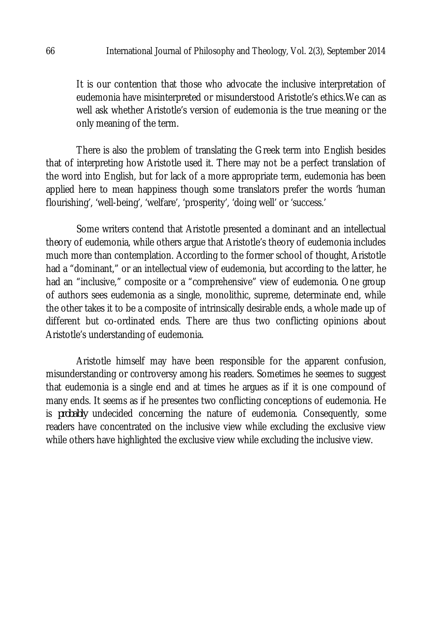It is our contention that those who advocate the inclusive interpretation of eudemonia have misinterpreted or misunderstood Aristotle's ethics.We can as well ask whether Aristotle's version of eudemonia is the true meaning or the only meaning of the term.

There is also the problem of translating the Greek term into English besides that of interpreting how Aristotle used it. There may not be a perfect translation of the word into English, but for lack of a more appropriate term, eudemonia has been applied here to mean happiness though some translators prefer the words 'human flourishing', 'well-being', 'welfare', 'prosperity', 'doing well' or 'success.'

Some writers contend that Aristotle presented a dominant and an intellectual theory of eudemonia, while others argue that Aristotle's theory of eudemonia includes much more than contemplation. According to the former school of thought, Aristotle had a "dominant," or an intellectual view of eudemonia, but according to the latter, he had an "inclusive," composite or a "comprehensive" view of eudemonia. One group of authors sees eudemonia as a single, monolithic, supreme, determinate end, while the other takes it to be a composite of intrinsically desirable ends, a whole made up of different but co-ordinated ends. There are thus two conflicting opinions about Aristotle's understanding of eudemonia.

Aristotle himself may have been responsible for the apparent confusion, misunderstanding or controversy among his readers. Sometimes he seemes to suggest that eudemonia is a single end and at times he argues as if it is one compound of many ends. It seems as if he presentes two conflicting conceptions of eudemonia. He is *probably* undecided concerning the nature of eudemonia. Consequently, some readers have concentrated on the inclusive view while excluding the exclusive view while others have highlighted the exclusive view while excluding the inclusive view.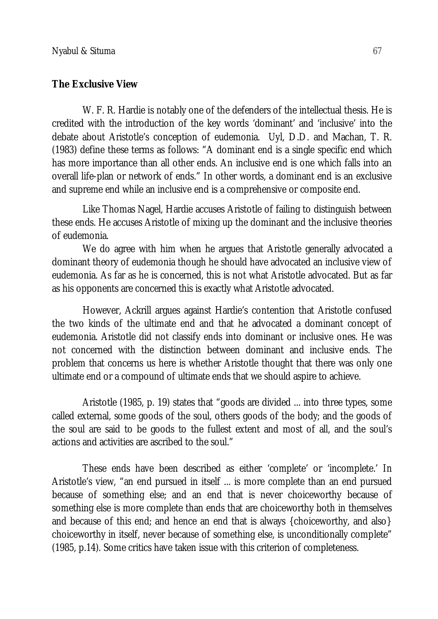## **The Exclusive View**

W. F. R. Hardie is notably one of the defenders of the intellectual thesis. He is credited with the introduction of the key words 'dominant' and 'inclusive' into the debate about Aristotle's conception of eudemonia. Uyl, D.D. and Machan, T. R. (1983) define these terms as follows: "A dominant end is a single specific end which has more importance than all other ends. An inclusive end is one which falls into an overall life-plan or network of ends." In other words, a dominant end is an exclusive and supreme end while an inclusive end is a comprehensive or composite end.

Like Thomas Nagel, Hardie accuses Aristotle of failing to distinguish between these ends. He accuses Aristotle of mixing up the dominant and the inclusive theories of eudemonia.

We do agree with him when he argues that Aristotle generally advocated a dominant theory of eudemonia though he should have advocated an inclusive view of eudemonia. As far as he is concerned, this is not what Aristotle advocated. But as far as his opponents are concerned this is exactly what Aristotle advocated.

However, Ackrill argues against Hardie's contention that Aristotle confused the two kinds of the ultimate end and that he advocated a dominant concept of eudemonia. Aristotle did not classify ends into dominant or inclusive ones. He was not concerned with the distinction between dominant and inclusive ends. The problem that concerns us here is whether Aristotle thought that there was only one ultimate end or a compound of ultimate ends that we should aspire to achieve.

Aristotle (1985, p. 19) states that "goods are divided ... into three types, some called external, some goods of the soul, others goods of the body; and the goods of the soul are said to be goods to the fullest extent and most of all, and the soul's actions and activities are ascribed to the soul."

These ends have been described as either 'complete' or 'incomplete.' In Aristotle's view, "an end pursued in itself ... is more complete than an end pursued because of something else; and an end that is never choiceworthy because of something else is more complete than ends that are choiceworthy both in themselves and because of this end; and hence an end that is always {choiceworthy, and also} choiceworthy in itself, never because of something else, is unconditionally complete" (1985, p.14). Some critics have taken issue with this criterion of completeness.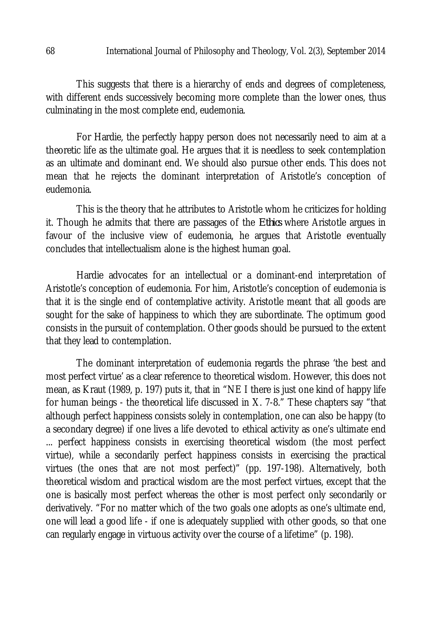This suggests that there is a hierarchy of ends and degrees of completeness, with different ends successively becoming more complete than the lower ones, thus culminating in the most complete end, eudemonia.

For Hardie, the perfectly happy person does not necessarily need to aim at a theoretic life as the ultimate goal. He argues that it is needless to seek contemplation as an ultimate and dominant end. We should also pursue other ends. This does not mean that he rejects the dominant interpretation of Aristotle's conception of eudemonia.

This is the theory that he attributes to Aristotle whom he criticizes for holding it. Though he admits that there are passages of the *Ethics* where Aristotle argues in favour of the inclusive view of eudemonia, he argues that Aristotle eventually concludes that intellectualism alone is the highest human goal.

Hardie advocates for an intellectual or a dominant-end interpretation of Aristotle's conception of eudemonia. For him, Aristotle's conception of eudemonia is that it is the single end of contemplative activity. Aristotle meant that all goods are sought for the sake of happiness to which they are subordinate. The optimum good consists in the pursuit of contemplation. Other goods should be pursued to the extent that they lead to contemplation.

The dominant interpretation of eudemonia regards the phrase 'the best and most perfect virtue' as a clear reference to theoretical wisdom. However, this does not mean, as Kraut (1989, p. 197) puts it, that in "NE I there is just one kind of happy life for human beings - the theoretical life discussed in X. 7-8." These chapters say "that although perfect happiness consists solely in contemplation, one can also be happy (to a secondary degree) if one lives a life devoted to ethical activity as one's ultimate end ... perfect happiness consists in exercising theoretical wisdom (the most perfect virtue), while a secondarily perfect happiness consists in exercising the practical virtues (the ones that are not most perfect)" (pp. 197-198). Alternatively, both theoretical wisdom and practical wisdom are the most perfect virtues, except that the one is basically most perfect whereas the other is most perfect only secondarily or derivatively. "For no matter which of the two goals one adopts as one's ultimate end, one will lead a good life - if one is adequately supplied with other goods, so that one can regularly engage in virtuous activity over the course of a lifetime" (p. 198).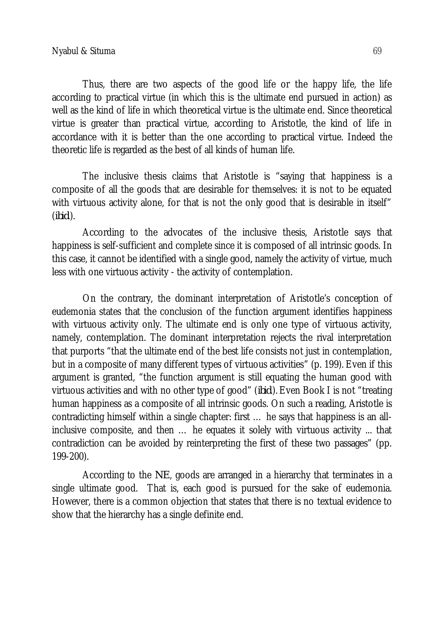Thus, there are two aspects of the good life or the happy life, the life according to practical virtue (in which this is the ultimate end pursued in action) as well as the kind of life in which theoretical virtue is the ultimate end. Since theoretical virtue is greater than practical virtue, according to Aristotle, the kind of life in accordance with it is better than the one according to practical virtue. Indeed the theoretic life is regarded as the best of all kinds of human life.

The inclusive thesis claims that Aristotle is "saying that happiness is a composite of all the goods that are desirable for themselves: it is not to be equated with virtuous activity alone, for that is not the only good that is desirable in itself" (*ibid*.).

According to the advocates of the inclusive thesis, Aristotle says that happiness is self-sufficient and complete since it is composed of all intrinsic goods. In this case, it cannot be identified with a single good, namely the activity of virtue, much less with one virtuous activity - the activity of contemplation.

On the contrary, the dominant interpretation of Aristotle's conception of eudemonia states that the conclusion of the function argument identifies happiness with virtuous activity only. The ultimate end is only one type of virtuous activity, namely, contemplation. The dominant interpretation rejects the rival interpretation that purports "that the ultimate end of the best life consists not just in contemplation, but in a composite of many different types of virtuous activities" (p. 199). Even if this argument is granted, "the function argument is still equating the human good with virtuous activities and with no other type of good" (*ibid*.).Even Book I is not "treating human happiness as a composite of all intrinsic goods. On such a reading, Aristotle is contradicting himself within a single chapter: first … he says that happiness is an allinclusive composite, and then … he equates it solely with virtuous activity ... that contradiction can be avoided by reinterpreting the first of these two passages" (pp. 199-200).

According to the *NE*, goods are arranged in a hierarchy that terminates in a single ultimate good. That is, each good is pursued for the sake of eudemonia. However, there is a common objection that states that there is no textual evidence to show that the hierarchy has a single definite end.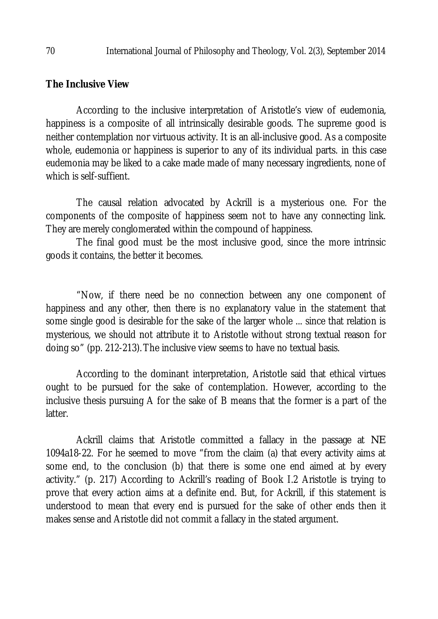## **The Inclusive View**

According to the inclusive interpretation of Aristotle's view of eudemonia, happiness is a composite of all intrinsically desirable goods. The supreme good is neither contemplation nor virtuous activity. It is an all-inclusive good. As a composite whole, eudemonia or happiness is superior to any of its individual parts. in this case eudemonia may be liked to a cake made made of many necessary ingredients, none of which is self-suffient.

The causal relation advocated by Ackrill is a mysterious one. For the components of the composite of happiness seem not to have any connecting link. They are merely conglomerated within the compound of happiness.

The final good must be the most inclusive good, since the more intrinsic goods it contains, the better it becomes.

"Now, if there need be no connection between any one component of happiness and any other, then there is no explanatory value in the statement that some single good is desirable for the sake of the larger whole ... since that relation is mysterious, we should not attribute it to Aristotle without strong textual reason for doing so" (pp. 212-213).The inclusive view seems to have no textual basis.

According to the dominant interpretation, Aristotle said that ethical virtues ought to be pursued for the sake of contemplation. However, according to the inclusive thesis pursuing A for the sake of B means that the former is a part of the latter.

Ackrill claims that Aristotle committed a fallacy in the passage at *NE* 1094a18-22. For he seemed to move "from the claim (a) that every activity aims at some end, to the conclusion (b) that there is some one end aimed at by every activity." (p. 217) According to Ackrill's reading of Book I.2 Aristotle is trying to prove that every action aims at a definite end. But, for Ackrill, if this statement is understood to mean that every end is pursued for the sake of other ends then it makes sense and Aristotle did not commit a fallacy in the stated argument.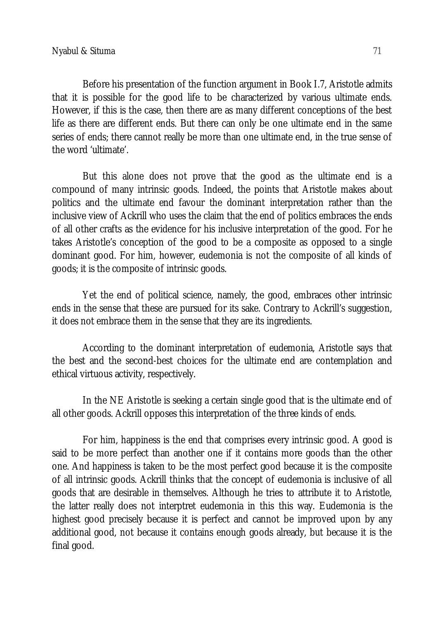Before his presentation of the function argument in Book I.7, Aristotle admits that it is possible for the good life to be characterized by various ultimate ends. However, if this is the case, then there are as many different conceptions of the best life as there are different ends. But there can only be one ultimate end in the same series of ends; there cannot really be more than one ultimate end, in the true sense of the word 'ultimate'.

But this alone does not prove that the good as the ultimate end is a compound of many intrinsic goods. Indeed, the points that Aristotle makes about politics and the ultimate end favour the dominant interpretation rather than the inclusive view of Ackrill who uses the claim that the end of politics embraces the ends of all other crafts as the evidence for his inclusive interpretation of the good. For he takes Aristotle's conception of the good to be a composite as opposed to a single dominant good. For him, however, eudemonia is not the composite of all kinds of goods; it is the composite of intrinsic goods.

Yet the end of political science, namely, the good, embraces other intrinsic ends in the sense that these are pursued for its sake. Contrary to Ackrill's suggestion, it does not embrace them in the sense that they are its ingredients.

According to the dominant interpretation of eudemonia, Aristotle says that the best and the second-best choices for the ultimate end are contemplation and ethical virtuous activity, respectively.

In the NE Aristotle is seeking a certain single good that is the ultimate end of all other goods. Ackrill opposes this interpretation of the three kinds of ends.

For him, happiness is the end that comprises every intrinsic good. A good is said to be more perfect than another one if it contains more goods than the other one. And happiness is taken to be the most perfect good because it is the composite of all intrinsic goods. Ackrill thinks that the concept of eudemonia is inclusive of all goods that are desirable in themselves. Although he tries to attribute it to Aristotle, the latter really does not interptret eudemonia in this this way. Eudemonia is the highest good precisely because it is perfect and cannot be improved upon by any additional good, not because it contains enough goods already, but because it is the final good.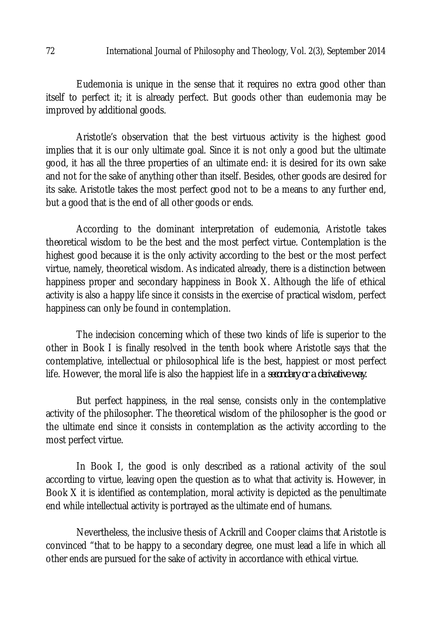#### 72 International Journal of Philosophy and Theology, Vol. 2(3), September 2014

Eudemonia is unique in the sense that it requires no extra good other than itself to perfect it; it is already perfect. But goods other than eudemonia may be improved by additional goods.

Aristotle's observation that the best virtuous activity is the highest good implies that it is our only ultimate goal. Since it is not only a good but the ultimate good, it has all the three properties of an ultimate end: it is desired for its own sake and not for the sake of anything other than itself. Besides, other goods are desired for its sake. Aristotle takes the most perfect good not to be a means to any further end, but a good that is the end of all other goods or ends.

According to the dominant interpretation of eudemonia, Aristotle takes theoretical wisdom to be the best and the most perfect virtue. Contemplation is the highest good because it is the only activity according to the best or the most perfect virtue, namely, theoretical wisdom. As indicated already, there is a distinction between happiness proper and secondary happiness in Book X. Although the life of ethical activity is also a happy life since it consists in the exercise of practical wisdom, perfect happiness can only be found in contemplation.

The indecision concerning which of these two kinds of life is superior to the other in Book I is finally resolved in the tenth book where Aristotle says that the contemplative, intellectual or philosophical life is the best, happiest or most perfect life. However, the moral life is also the happiest life in a *secondary or a derivative way.*

But perfect happiness, in the real sense, consists only in the contemplative activity of the philosopher. The theoretical wisdom of the philosopher is the good or the ultimate end since it consists in contemplation as the activity according to the most perfect virtue.

In Book I, the good is only described as a rational activity of the soul according to virtue, leaving open the question as to what that activity is. However, in Book X it is identified as contemplation, moral activity is depicted as the penultimate end while intellectual activity is portrayed as the ultimate end of humans.

Nevertheless, the inclusive thesis of Ackrill and Cooper claims that Aristotle is convinced "that to be happy to a secondary degree, one must lead a life in which all other ends are pursued for the sake of activity in accordance with ethical virtue.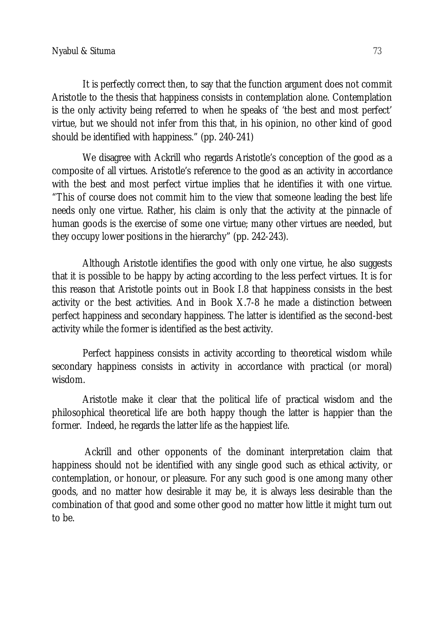It is perfectly correct then, to say that the function argument does not commit Aristotle to the thesis that happiness consists in contemplation alone. Contemplation is the only activity being referred to when he speaks of 'the best and most perfect' virtue, but we should not infer from this that, in his opinion, no other kind of good should be identified with happiness." (pp. 240-241)

We disagree with Ackrill who regards Aristotle's conception of the good as a composite of all virtues. Aristotle's reference to the good as an activity in accordance with the best and most perfect virtue implies that he identifies it with one virtue. "This of course does not commit him to the view that someone leading the best life needs only one virtue. Rather, his claim is only that the activity at the pinnacle of human goods is the exercise of some one virtue; many other virtues are needed, but they occupy lower positions in the hierarchy" (pp. 242-243).

Although Aristotle identifies the good with only one virtue, he also suggests that it is possible to be happy by acting according to the less perfect virtues. It is for this reason that Aristotle points out in Book I.8 that happiness consists in the best activity or the best activities. And in Book X.7-8 he made a distinction between perfect happiness and secondary happiness. The latter is identified as the second-best activity while the former is identified as the best activity.

Perfect happiness consists in activity according to theoretical wisdom while secondary happiness consists in activity in accordance with practical (or moral) wisdom.

Aristotle make it clear that the political life of practical wisdom and the philosophical theoretical life are both happy though the latter is happier than the former. Indeed, he regards the latter life as the happiest life.

Ackrill and other opponents of the dominant interpretation claim that happiness should not be identified with any single good such as ethical activity, or contemplation, or honour, or pleasure. For any such good is one among many other goods, and no matter how desirable it may be, it is always less desirable than the combination of that good and some other good no matter how little it might turn out to be.